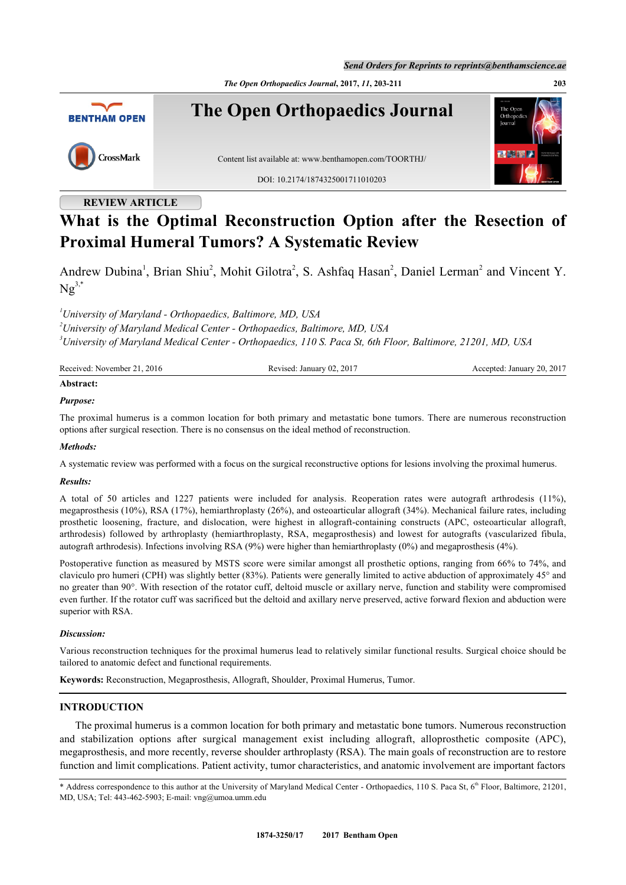*Send Orders for Reprints to reprints@benthamscience.ae*

*The Open Orthopaedics Journal***, 2017,** *11***, 203-211 203**



### **REVIEW ARTICLE**

# **What is the Optimal Reconstruction Option after the Resection of Proximal Humeral Tumors? A Systematic Review**

Andrew Dubina<sup>[1](#page-0-0)</sup>, Brian Shiu<sup>[2](#page-0-1)</sup>, Mohit Gilotra<sup>2</sup>, S. Ashfaq Hasan<sup>2</sup>, Daniel Lerman<sup>2</sup> and Vincent Y.  $Ng^{3,*}$  $Ng^{3,*}$  $Ng^{3,*}$  $Ng^{3,*}$ 

<span id="page-0-0"></span>*<sup>1</sup>University of Maryland - Orthopaedics, Baltimore, MD, USA*

<span id="page-0-1"></span>*<sup>2</sup>University of Maryland Medical Center - Orthopaedics, Baltimore, MD, USA*

<span id="page-0-2"></span>*<sup>3</sup>University of Maryland Medical Center - Orthopaedics, 110 S. Paca St, 6th Floor, Baltimore, 21201, MD, USA*

| Received: November 21, 2016 | Revised: January 02, 2017 | Accepted: January 20, 2017 |
|-----------------------------|---------------------------|----------------------------|
| Abstract:                   |                           |                            |

## *Purpose:*

The proximal humerus is a common location for both primary and metastatic bone tumors. There are numerous reconstruction options after surgical resection. There is no consensus on the ideal method of reconstruction.

#### *Methods:*

A systematic review was performed with a focus on the surgical reconstructive options for lesions involving the proximal humerus.

#### *Results:*

A total of 50 articles and 1227 patients were included for analysis. Reoperation rates were autograft arthrodesis (11%), megaprosthesis (10%), RSA (17%), hemiarthroplasty (26%), and osteoarticular allograft (34%). Mechanical failure rates, including prosthetic loosening, fracture, and dislocation, were highest in allograft-containing constructs (APC, osteoarticular allograft, arthrodesis) followed by arthroplasty (hemiarthroplasty, RSA, megaprosthesis) and lowest for autografts (vascularized fibula, autograft arthrodesis). Infections involving RSA (9%) were higher than hemiarthroplasty (0%) and megaprosthesis (4%).

Postoperative function as measured by MSTS score were similar amongst all prosthetic options, ranging from 66% to 74%, and claviculo pro humeri (CPH) was slightly better (83%). Patients were generally limited to active abduction of approximately 45° and no greater than 90°. With resection of the rotator cuff, deltoid muscle or axillary nerve, function and stability were compromised even further. If the rotator cuff was sacrificed but the deltoid and axillary nerve preserved, active forward flexion and abduction were superior with RSA.

#### *Discussion:*

Various reconstruction techniques for the proximal humerus lead to relatively similar functional results. Surgical choice should be tailored to anatomic defect and functional requirements.

**Keywords:** Reconstruction, Megaprosthesis, Allograft, Shoulder, Proximal Humerus, Tumor.

#### **INTRODUCTION**

The proximal humerus is a common location for both primary and metastatic bone tumors. Numerous reconstruction and stabilization options after surgical management exist including allograft, alloprosthetic composite (APC), megaprosthesis, and more recently, reverse shoulder arthroplasty (RSA). The main goals of reconstruction are to restore function and limit complications. Patient activity, tumor characteristics, and anatomic involvement are important factors

<span id="page-0-3"></span><sup>\*</sup> Address correspondence to this author at the University of Maryland Medical Center - Orthopaedics, 110 S. Paca St, 6<sup>th</sup> Floor, Baltimore, 21201, MD, USA; Tel: 443-462-5903; E-mail: [vng@umoa.umm.edu](mailto:vng@umoa.umm.edu)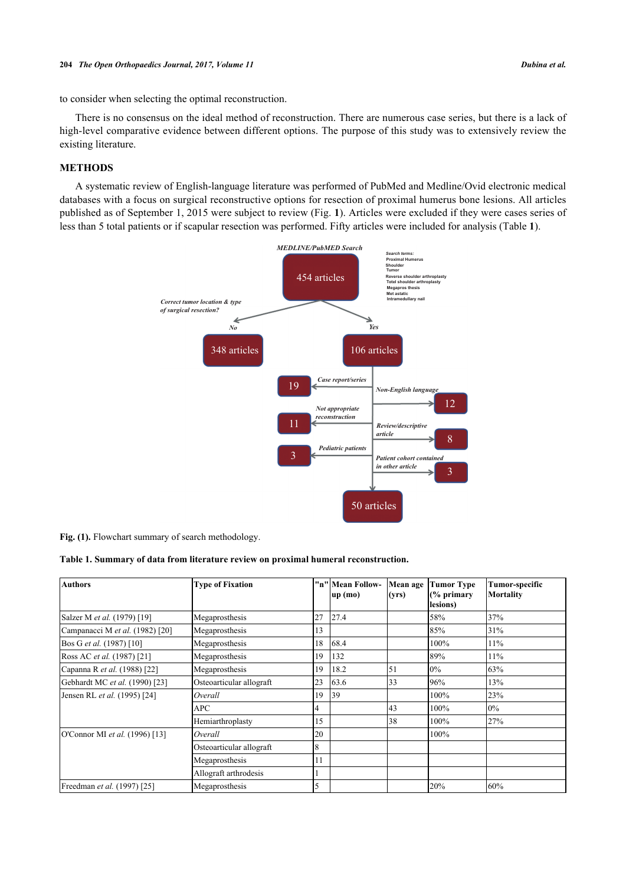to consider when selecting the optimal reconstruction.

There is no consensus on the ideal method of reconstruction. There are numerous case series, but there is a lack of high-level comparative evidence between different options. The purpose of this study was to extensively review the existing literature.

#### **METHODS**

<span id="page-1-0"></span>A systematic review of English-language literature was performed of PubMed and Medline/Ovid electronic medical databases with a focus on surgical reconstructive options for resection of proximal humerus bone lesions. All articles published as of September 1, 2015 were subject to review (Fig. **[1](#page-1-0)**). Articles were excluded if they were cases series of less than 5 total patients or if scapular resection was performed. Fifty articles were included for analysis (Table **[1](#page-1-1)**).



Fig. (1). Flowchart summary of search methodology.

#### <span id="page-1-1"></span>**Table 1. Summary of data from literature review on proximal humeral reconstruction.**

| <b>Authors</b>                  | <b>Type of Fixation</b>  |    | "n" Mean Follow-<br>$up$ (mo) | Mean age<br>(yrs) | <b>Tumor Type</b><br>(% primary<br>lesions) | <b>Tumor-specific</b><br><b>Mortality</b> |
|---------------------------------|--------------------------|----|-------------------------------|-------------------|---------------------------------------------|-------------------------------------------|
| Salzer M et al. (1979) [19]     | Megaprosthesis           | 27 | 27.4                          |                   | 58%                                         | 37%                                       |
| Campanacci M et al. (1982) [20] | Megaprosthesis           | 13 |                               |                   | 85%                                         | 31%                                       |
| Bos G et al. (1987) [10]        | Megaprosthesis           | 18 | 68.4                          |                   | 100%                                        | 11%                                       |
| Ross AC et al. (1987) [21]      | Megaprosthesis           | 19 | 132                           |                   | 89%                                         | 11%                                       |
| Capanna R et al. (1988) [22]    | Megaprosthesis           | 19 | 18.2                          | 51                | $0\%$                                       | 63%                                       |
| Gebhardt MC et al. (1990) [23]  | Osteoarticular allograft | 23 | 63.6                          | 33                | 96%                                         | 13%                                       |
| Jensen RL et al. (1995) [24]    | Overall                  | 19 | $ 39\rangle$                  |                   | 100%                                        | 23%                                       |
|                                 | <b>APC</b>               | 4  |                               | 43                | 100%                                        | $0\%$                                     |
|                                 | Hemiarthroplasty         | 15 |                               | 38                | 100%                                        | 27%                                       |
| O'Connor MI et al. (1996) [13]  | Overall                  | 20 |                               |                   | 100%                                        |                                           |
|                                 | Osteoarticular allograft | 8  |                               |                   |                                             |                                           |
|                                 | Megaprosthesis           | 11 |                               |                   |                                             |                                           |
|                                 | Allograft arthrodesis    |    |                               |                   |                                             |                                           |
| Freedman et al. (1997) [25]     | Megaprosthesis           |    |                               |                   | 20%                                         | 60%                                       |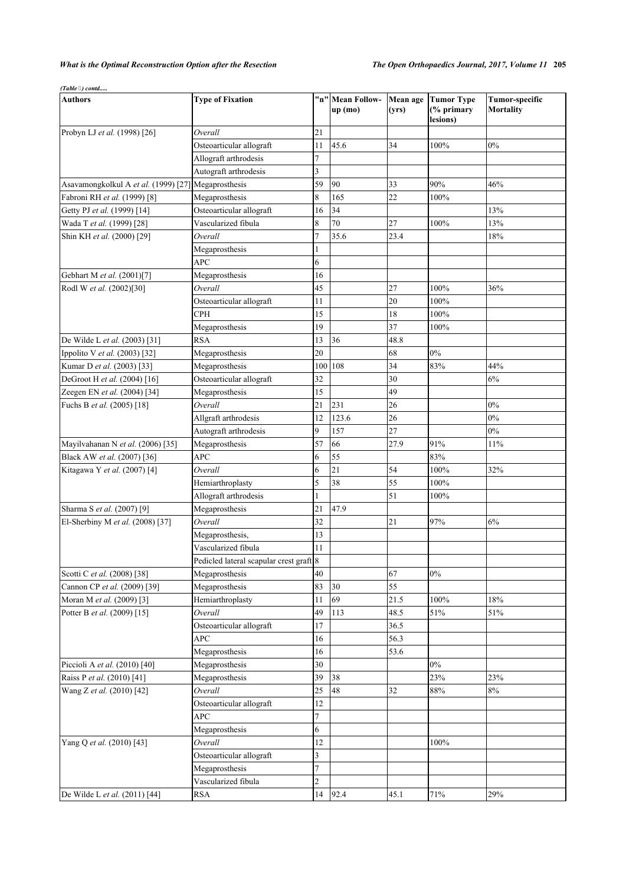| (Table 3) contd                                     |                                                    |                |                             |                   |                                             |                                    |  |
|-----------------------------------------------------|----------------------------------------------------|----------------|-----------------------------|-------------------|---------------------------------------------|------------------------------------|--|
| Authors                                             | <b>Type of Fixation</b>                            |                | "n" Mean Follow-<br>up (mo) | Mean age<br>(yrs) | <b>Tumor Type</b><br>(% primary<br>lesions) | Tumor-specific<br><b>Mortality</b> |  |
| Probyn LJ et al. (1998) [26]                        | Overall                                            | 21             |                             |                   |                                             |                                    |  |
|                                                     | Osteoarticular allograft                           | 11             | 45.6                        | 34                | 100%                                        | $0\%$                              |  |
|                                                     | Allograft arthrodesis                              | 7              |                             |                   |                                             |                                    |  |
|                                                     | Autograft arthrodesis                              | 3              |                             |                   |                                             |                                    |  |
| Asavamongkolkul A et al. (1999) [27] Megaprosthesis |                                                    | 59             | 90                          | 33                | 90%                                         | 46%                                |  |
| Fabroni RH et al. (1999) [8]                        | Megaprosthesis                                     | 8              | 165                         | 22                | 100%                                        |                                    |  |
| Getty PJ et al. (1999) [14]                         | Osteoarticular allograft                           | 16             | 34                          |                   |                                             | 13%                                |  |
| Wada T et al. (1999) [28]                           | Vascularized fibula                                | 8              | 70                          | 27                | 100%                                        | 13%                                |  |
| Shin KH et al. (2000) [29]                          | Overall                                            | 7              | 35.6                        | 23.4              |                                             | $18\%$                             |  |
|                                                     | Megaprosthesis                                     | 1              |                             |                   |                                             |                                    |  |
|                                                     | <b>APC</b>                                         | 6              |                             |                   |                                             |                                    |  |
| Gebhart M et al. (2001)[7]                          | Megaprosthesis                                     | 16             |                             |                   |                                             |                                    |  |
| Rodl W et al. (2002)[30]                            | Overall                                            | 45             |                             | 27                | 100%                                        | 36%                                |  |
|                                                     | Osteoarticular allograft                           | 11             |                             | 20                | $100\%$                                     |                                    |  |
|                                                     | <b>CPH</b>                                         | 15             |                             | 18                | 100%                                        |                                    |  |
|                                                     | Megaprosthesis                                     | 19             |                             | 37                | 100%                                        |                                    |  |
| De Wilde L et al. (2003) [31]                       | <b>RSA</b>                                         | 13             | 36                          | 48.8              |                                             |                                    |  |
| Ippolito V et al. (2003) [32]                       | Megaprosthesis                                     | 20             |                             | 68                | $0\%$                                       |                                    |  |
| Kumar D et al. (2003) [33]                          | Megaprosthesis                                     | 100            | 108                         | 34                | 83%                                         | 44%                                |  |
| DeGroot H et al. (2004) [16]                        | Osteoarticular allograft                           | 32             |                             | 30                |                                             | 6%                                 |  |
| Zeegen EN et al. (2004) [34]                        | Megaprosthesis                                     |                |                             | 49                |                                             |                                    |  |
| Fuchs B et al. (2005) [18]                          | Overall                                            | 15<br>21       | 231                         | 26                |                                             | $0\%$                              |  |
|                                                     | Allgraft arthrodesis                               | 12             | 123.6                       | 26                |                                             | $0\%$                              |  |
|                                                     | Autograft arthrodesis                              | 9              | 157                         | 27                |                                             | $0\%$                              |  |
| Mayilvahanan N et al. (2006) [35]                   | Megaprosthesis                                     | 57             | 66                          | 27.9              | 91%                                         | 11%                                |  |
| Black AW et al. (2007) [36]                         | <b>APC</b>                                         | 6              | 55                          |                   | 83%                                         |                                    |  |
| Kitagawa Y et al. (2007) [4]                        | Overall                                            | 6              | 21                          | 54                | 100%                                        | 32%                                |  |
|                                                     | Hemiarthroplasty                                   | 5              | 38                          | 55                | $100\%$                                     |                                    |  |
|                                                     | Allograft arthrodesis                              | 1              |                             | 51                | 100%                                        |                                    |  |
| Sharma S et al. (2007) [9]                          | Megaprosthesis                                     | 21             | 47.9                        |                   |                                             |                                    |  |
| El-Sherbiny M et al. (2008) [37]                    | Overall                                            | 32             |                             | 21                | 97%                                         | 6%                                 |  |
|                                                     | Megaprosthesis,                                    | 13             |                             |                   |                                             |                                    |  |
|                                                     | Vascularized fibula                                | 11             |                             |                   |                                             |                                    |  |
|                                                     | Pedicled lateral scapular crest graft <sup>8</sup> |                |                             |                   |                                             |                                    |  |
| Scotti C et al. (2008) [38]                         | Megaprosthesis                                     | 40             |                             | 67                | $0\%$                                       |                                    |  |
| Cannon CP et al. (2009) [39]                        | Megaprosthesis                                     | 83             | 30                          | 55                |                                             |                                    |  |
| Moran M et al. (2009) [3]                           | Hemiarthroplasty                                   | 11             | 69                          | 21.5              | 100%                                        | 18%                                |  |
| Potter B et al. (2009) [15]                         | Overall                                            | 49             | 113                         | 48.5              | 51%                                         | 51%                                |  |
|                                                     | Osteoarticular allograft                           | 17             |                             | 36.5              |                                             |                                    |  |
|                                                     | <b>APC</b>                                         | 16             |                             | 56.3              |                                             |                                    |  |
|                                                     | Megaprosthesis                                     | 16             |                             | 53.6              |                                             |                                    |  |
| Piccioli A et al. (2010) [40]                       | Megaprosthesis                                     | 30             |                             |                   | $0\%$                                       |                                    |  |
| Raiss P et al. (2010) [41]                          | Megaprosthesis                                     | 39             | 38                          |                   | 23%                                         | 23%                                |  |
| Wang Z et al. (2010) [42]                           | Overall                                            | 25             | 48                          | 32                | $88\%$                                      | $8\%$                              |  |
|                                                     | Osteoarticular allograft                           | 12             |                             |                   |                                             |                                    |  |
|                                                     | <b>APC</b>                                         | 7              |                             |                   |                                             |                                    |  |
|                                                     | Megaprosthesis                                     | 6              |                             |                   |                                             |                                    |  |
| Yang Q et al. (2010) [43]                           | Overall                                            | 12             |                             |                   | $100\%$                                     |                                    |  |
|                                                     | Osteoarticular allograft                           | 3              |                             |                   |                                             |                                    |  |
|                                                     | Megaprosthesis                                     | 7              |                             |                   |                                             |                                    |  |
|                                                     | Vascularized fibula                                | $\overline{c}$ |                             |                   |                                             |                                    |  |
| De Wilde L et al. (2011) [44]                       | <b>RSA</b>                                         | 14             | 92.4                        | 45.1              | 71%                                         | 29%                                |  |
|                                                     |                                                    |                |                             |                   |                                             |                                    |  |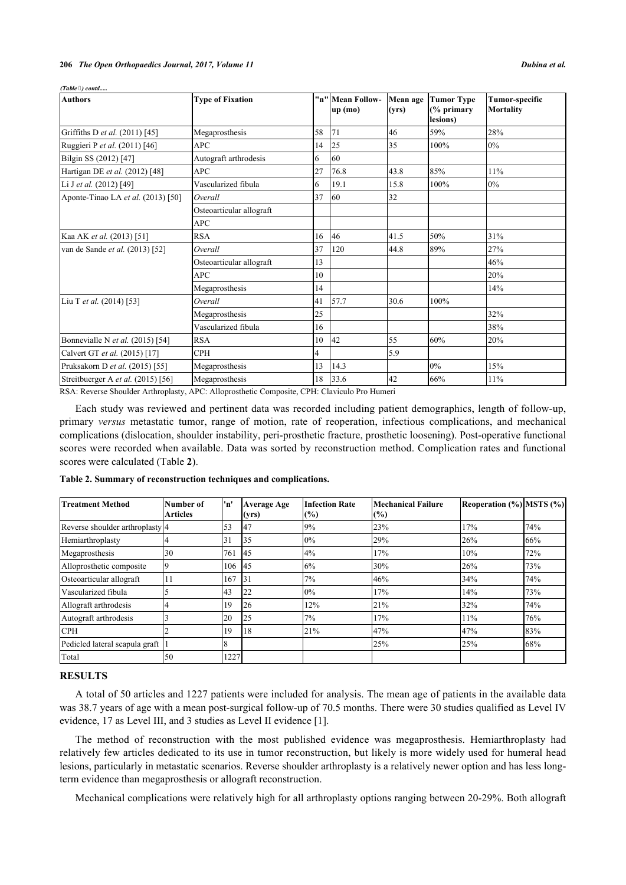#### **206** *The Open Orthopaedics Journal, 2017, Volume 11 Dubina et al.*

*(Table ) contd.....*

| <b>Authors</b>                       | <b>Type of Fixation</b>  |    | "n" Mean Follow-<br>up(mo) | Mean age<br>(vrs) | <b>Tumor Type</b><br>$\frac{6}{6}$ primary<br>lesions) | Tumor-specific<br><b>Mortality</b> |
|--------------------------------------|--------------------------|----|----------------------------|-------------------|--------------------------------------------------------|------------------------------------|
| Griffiths D et al. (2011) [45]       | 58<br>Megaprosthesis     |    | 71                         | 46                | 59%                                                    | 28%                                |
| Ruggieri P et al. (2011) [46]        | <b>APC</b>               | 14 | 25                         | 35                | 100%                                                   | $0\%$                              |
| Bilgin SS (2012) [47]                | Autograft arthrodesis    | 6  | 60                         |                   |                                                        |                                    |
| Hartigan DE et al. (2012) [48]       | APC                      | 27 | 76.8                       | 43.8              | 85%                                                    | 11%                                |
| Li J et al. $(2012)$ [49]            | Vascularized fibula      | 6  | 19.1                       | 15.8              | 100%                                                   | $0\%$                              |
| Aponte-Tinao LA et al. (2013) [50]   | Overall                  | 37 | 60                         | 32                |                                                        |                                    |
|                                      | Osteoarticular allograft |    |                            |                   |                                                        |                                    |
|                                      | <b>APC</b>               |    |                            |                   |                                                        |                                    |
| Kaa AK et al. (2013) [51]            | <b>RSA</b>               | 16 | 46                         | 41.5              | 50%                                                    | 31%                                |
| van de Sande et al. (2013) [52]      | Overall                  | 37 | 120                        | 44.8              | 89%                                                    | 27%                                |
|                                      | Osteoarticular allograft | 13 |                            |                   |                                                        | 46%                                |
|                                      | <b>APC</b>               | 10 |                            |                   |                                                        | 20%                                |
|                                      | Megaprosthesis           | 14 |                            |                   |                                                        | 14%                                |
| Liu T et al. (2014) [53]             | Overall                  | 41 | 57.7                       | 30.6              | 100%                                                   |                                    |
|                                      | Megaprosthesis           | 25 |                            |                   |                                                        | 32%                                |
|                                      | Vascularized fibula      | 16 |                            |                   |                                                        | 38%                                |
| Bonnevialle N et al. (2015) [54]     | <b>RSA</b>               |    | 42                         | 55                | 60%                                                    | 20%                                |
| Calvert GT et al. (2015) [17]        | <b>CPH</b>               |    |                            | 5.9               |                                                        |                                    |
| Pruksakorn D et al. (2015) [55]      | Megaprosthesis           |    | 14.3                       |                   | $0\%$                                                  | 15%                                |
| Streitbuerger A et al. $(2015)$ [56] | Megaprosthesis           |    | 33.6                       | 42                | 66%                                                    | 11%                                |

RSA: Reverse Shoulder Arthroplasty, APC: Alloprosthetic Composite, CPH: Claviculo Pro Humeri

Each study was reviewed and pertinent data was recorded including patient demographics, length of follow-up, primary *versus* metastatic tumor, range of motion, rate of reoperation, infectious complications, and mechanical complications (dislocation, shoulder instability, peri-prosthetic fracture, prosthetic loosening). Post-operative functional scores were recorded when available. Data was sorted by reconstruction method. Complication rates and functional scores were calculated (Table **[2](#page-3-0)**).

| <b>Treatment Method</b>                     | Number of<br><b>Articles</b> | 'n' | <b>Average Age</b><br>(yrs) | <b>Infection Rate</b><br>$(\%)$ | <b>Mechanical Failure</b><br>$(\%)$ | Reoperation (%) MSTS (%) |     |
|---------------------------------------------|------------------------------|-----|-----------------------------|---------------------------------|-------------------------------------|--------------------------|-----|
| Reverse shoulder arthroplasty <sup>14</sup> |                              | 53  | <b>47</b>                   | 9%                              | 23%                                 | 17%                      | 74% |
| Hemiarthroplasty                            |                              | 31  | 35                          | 10%                             | 29%                                 | 26%                      | 66% |
| Megaprosthesis                              | 30                           | 761 | 45                          | 4%                              | 17%                                 | 10%                      | 72% |
| Alloprosthetic composite                    | 19                           | 106 | 45                          | 6%                              | 30%                                 | 26%                      | 73% |
| Osteoarticular allograft                    | 11                           | 167 | $\vert$ 31                  | 7%                              | 46%                                 | 34%                      | 74% |
| Vascularized fibula                         |                              | 43  | 22                          | 10%                             | 17%                                 | 14%                      | 73% |
| Allograft arthrodesis                       |                              | 19  | 26                          | 12%                             | 21%                                 | 32%                      | 74% |
| Autograft arthrodesis                       |                              | 20  | 25                          | 7%                              | 17%                                 | 11%                      | 76% |
| <b>CPH</b>                                  |                              | 19  | 18                          | 21%                             | 47%                                 | 47%                      | 83% |
| Pedicled lateral scapula graft              |                              | 8   |                             |                                 | 25%                                 | 25%                      | 68% |
| Total                                       | 50                           | 227 |                             |                                 |                                     |                          |     |

<span id="page-3-0"></span>**Table 2. Summary of reconstruction techniques and complications.**

#### **RESULTS**

A total of 50 articles and 1227 patients were included for analysis. The mean age of patients in the available data was 38.7 years of age with a mean post-surgical follow-up of 70.5 months. There were 30 studies qualified as Level IV evidence, 17 as Level III, and 3 studies as Level II evidence [\[1](#page-6-14)].

The method of reconstruction with the most published evidence was megaprosthesis. Hemiarthroplasty had relatively few articles dedicated to its use in tumor reconstruction, but likely is more widely used for humeral head lesions, particularly in metastatic scenarios. Reverse shoulder arthroplasty is a relatively newer option and has less longterm evidence than megaprosthesis or allograft reconstruction.

Mechanical complications were relatively high for all arthroplasty options ranging between 20-29%. Both allograft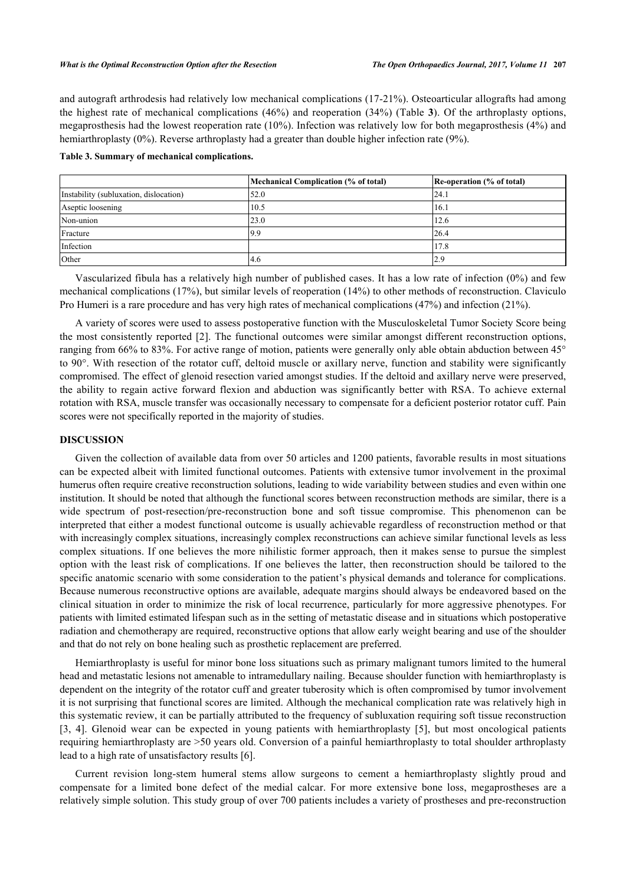and autograft arthrodesis had relatively low mechanical complications (17-21%). Osteoarticular allografts had among the highest rate of mechanical complications (46%) and reoperation (34%) (Table **[3](#page-4-0)**). Of the arthroplasty options, megaprosthesis had the lowest reoperation rate (10%). Infection was relatively low for both megaprosthesis (4%) and hemiarthroplasty (0%). Reverse arthroplasty had a greater than double higher infection rate (9%).

<span id="page-4-0"></span>**Table 3. Summary of mechanical complications.**

|                                        | Mechanical Complication (% of total) | Re-operation (% of total) |
|----------------------------------------|--------------------------------------|---------------------------|
| Instability (subluxation, dislocation) | 52.0                                 | 24.1                      |
| Aseptic loosening                      | 10.5                                 | 16.1                      |
| Non-union                              | 23.0                                 | 12.6                      |
| Fracture                               | 19.9                                 | 26.4                      |
| Infection                              |                                      | 17.8                      |
| Other                                  | 14.6                                 | 2.9                       |

Vascularized fibula has a relatively high number of published cases. It has a low rate of infection (0%) and few mechanical complications (17%), but similar levels of reoperation (14%) to other methods of reconstruction. Claviculo Pro Humeri is a rare procedure and has very high rates of mechanical complications (47%) and infection (21%).

A variety of scores were used to assess postoperative function with the Musculoskeletal Tumor Society Score being the most consistently reported [[2\]](#page-6-15). The functional outcomes were similar amongst different reconstruction options, ranging from 66% to 83%. For active range of motion, patients were generally only able obtain abduction between 45° to 90°. With resection of the rotator cuff, deltoid muscle or axillary nerve, function and stability were significantly compromised. The effect of glenoid resection varied amongst studies. If the deltoid and axillary nerve were preserved, the ability to regain active forward flexion and abduction was significantly better with RSA. To achieve external rotation with RSA, muscle transfer was occasionally necessary to compensate for a deficient posterior rotator cuff. Pain scores were not specifically reported in the majority of studies.

#### **DISCUSSION**

Given the collection of available data from over 50 articles and 1200 patients, favorable results in most situations can be expected albeit with limited functional outcomes. Patients with extensive tumor involvement in the proximal humerus often require creative reconstruction solutions, leading to wide variability between studies and even within one institution. It should be noted that although the functional scores between reconstruction methods are similar, there is a wide spectrum of post-resection/pre-reconstruction bone and soft tissue compromise. This phenomenon can be interpreted that either a modest functional outcome is usually achievable regardless of reconstruction method or that with increasingly complex situations, increasingly complex reconstructions can achieve similar functional levels as less complex situations. If one believes the more nihilistic former approach, then it makes sense to pursue the simplest option with the least risk of complications. If one believes the latter, then reconstruction should be tailored to the specific anatomic scenario with some consideration to the patient's physical demands and tolerance for complications. Because numerous reconstructive options are available, adequate margins should always be endeavored based on the clinical situation in order to minimize the risk of local recurrence, particularly for more aggressive phenotypes. For patients with limited estimated lifespan such as in the setting of metastatic disease and in situations which postoperative radiation and chemotherapy are required, reconstructive options that allow early weight bearing and use of the shoulder and that do not rely on bone healing such as prosthetic replacement are preferred.

Hemiarthroplasty is useful for minor bone loss situations such as primary malignant tumors limited to the humeral head and metastatic lesions not amenable to intramedullary nailing. Because shoulder function with hemiarthroplasty is dependent on the integrity of the rotator cuff and greater tuberosity which is often compromised by tumor involvement it is not surprising that functional scores are limited. Although the mechanical complication rate was relatively high in this systematic review, it can be partially attributed to the frequency of subluxation requiring soft tissue reconstruction [\[3](#page-6-11), [4](#page-6-9)]. Glenoid wear can be expected in young patients with hemiarthroplasty [\[5](#page-6-16)], but most oncological patients requiring hemiarthroplasty are >50 years old. Conversion of a painful hemiarthroplasty to total shoulder arthroplasty lead to a high rate of unsatisfactory results [\[6](#page-6-17)].

Current revision long-stem humeral stems allow surgeons to cement a hemiarthroplasty slightly proud and compensate for a limited bone defect of the medial calcar. For more extensive bone loss, megaprostheses are a relatively simple solution. This study group of over 700 patients includes a variety of prostheses and pre-reconstruction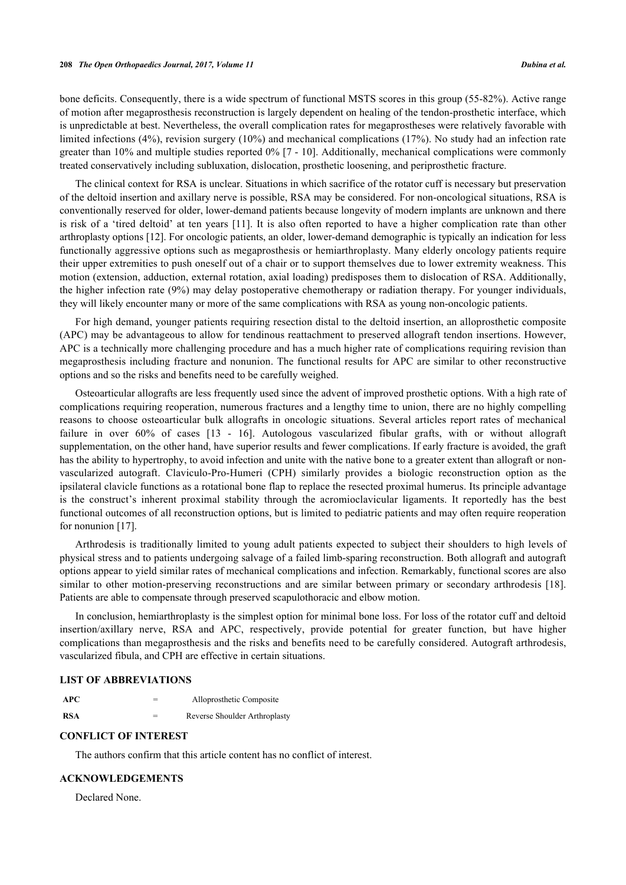bone deficits. Consequently, there is a wide spectrum of functional MSTS scores in this group (55-82%). Active range of motion after megaprosthesis reconstruction is largely dependent on healing of the tendon-prosthetic interface, which is unpredictable at best. Nevertheless, the overall complication rates for megaprostheses were relatively favorable with limited infections (4%), revision surgery (10%) and mechanical complications (17%). No study had an infection rate greater than 10% and multiple studies reported 0% [[7](#page-6-6) - [10\]](#page-6-2). Additionally, mechanical complications were commonly treated conservatively including subluxation, dislocation, prosthetic loosening, and periprosthetic fracture.

The clinical context for RSA is unclear. Situations in which sacrifice of the rotator cuff is necessary but preservation of the deltoid insertion and axillary nerve is possible, RSA may be considered. For non-oncological situations, RSA is conventionally reserved for older, lower-demand patients because longevity of modern implants are unknown and there is risk of a 'tired deltoid' at ten years [\[11\]](#page-6-18). It is also often reported to have a higher complication rate than other arthroplasty options [\[12](#page-6-19)]. For oncologic patients, an older, lower-demand demographic is typically an indication for less functionally aggressive options such as megaprosthesis or hemiarthroplasty. Many elderly oncology patients require their upper extremities to push oneself out of a chair or to support themselves due to lower extremity weakness. This motion (extension, adduction, external rotation, axial loading) predisposes them to dislocation of RSA. Additionally, the higher infection rate (9%) may delay postoperative chemotherapy or radiation therapy. For younger individuals, they will likely encounter many or more of the same complications with RSA as young non-oncologic patients.

For high demand, younger patients requiring resection distal to the deltoid insertion, an alloprosthetic composite (APC) may be advantageous to allow for tendinous reattachment to preserved allograft tendon insertions. However, APC is a technically more challenging procedure and has a much higher rate of complications requiring revision than megaprosthesis including fracture and nonunion. The functional results for APC are similar to other reconstructive options and so the risks and benefits need to be carefully weighed.

Osteoarticular allografts are less frequently used since the advent of improved prosthetic options. With a high rate of complications requiring reoperation, numerous fractures and a lengthy time to union, there are no highly compelling reasons to choose osteoarticular bulk allografts in oncologic situations. Several articles report rates of mechanical failure in over 60% of cases[[13](#page-6-3) - [16\]](#page-6-7). Autologous vascularized fibular grafts, with or without allograft supplementation, on the other hand, have superior results and fewer complications. If early fracture is avoided, the graft has the ability to hypertrophy, to avoid infection and unite with the native bone to a greater extent than allograft or nonvascularized autograft. Claviculo-Pro-Humeri (CPH) similarly provides a biologic reconstruction option as the ipsilateral clavicle functions as a rotational bone flap to replace the resected proximal humerus. Its principle advantage is the construct's inherent proximal stability through the acromioclavicular ligaments. It reportedly has the best functional outcomes of all reconstruction options, but is limited to pediatric patients and may often require reoperation for nonunion [\[17](#page-6-13)].

Arthrodesis is traditionally limited to young adult patients expected to subject their shoulders to high levels of physical stress and to patients undergoing salvage of a failed limb-sparing reconstruction. Both allograft and autograft options appear to yield similar rates of mechanical complications and infection. Remarkably, functional scores are also similar to other motion-preserving reconstructions and are similar between primary or secondary arthrodesis [\[18\]](#page-6-8). Patients are able to compensate through preserved scapulothoracic and elbow motion.

In conclusion, hemiarthroplasty is the simplest option for minimal bone loss. For loss of the rotator cuff and deltoid insertion/axillary nerve, RSA and APC, respectively, provide potential for greater function, but have higher complications than megaprosthesis and the risks and benefits need to be carefully considered. Autograft arthrodesis, vascularized fibula, and CPH are effective in certain situations.

#### **LIST OF ABBREVIATIONS**

- **APC** = Alloprosthetic Composite
- **RSA**  $=$  Reverse Shoulder Arthroplasty

#### **CONFLICT OF INTEREST**

The authors confirm that this article content has no conflict of interest.

#### **ACKNOWLEDGEMENTS**

Declared None.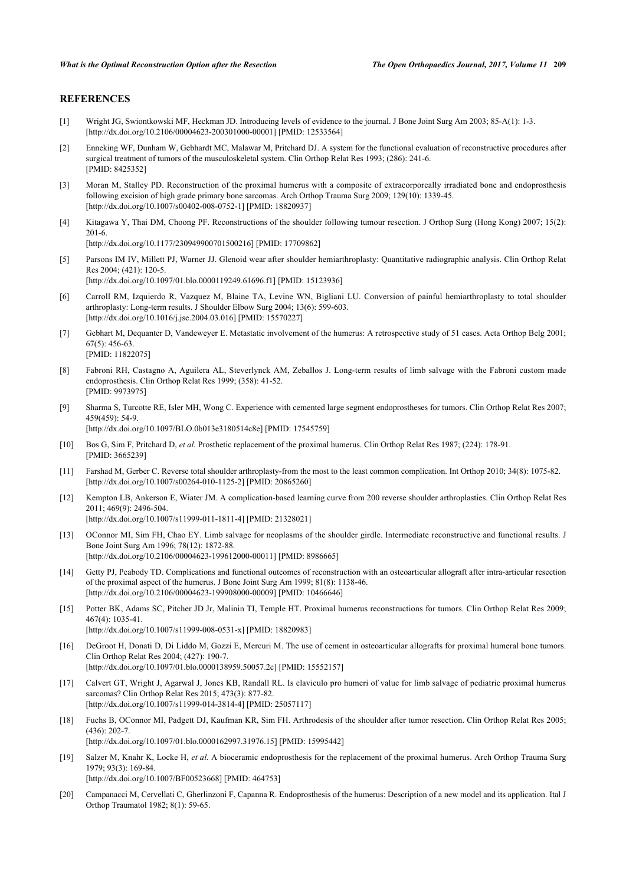#### **REFERENCES**

- <span id="page-6-14"></span>[1] Wright JG, Swiontkowski MF, Heckman JD. Introducing levels of evidence to the journal. J Bone Joint Surg Am 2003; 85-A(1): 1-3. [\[http://dx.doi.org/10.2106/00004623-200301000-00001](http://dx.doi.org/10.2106/00004623-200301000-00001)] [PMID: [12533564\]](http://www.ncbi.nlm.nih.gov/pubmed/12533564)
- <span id="page-6-15"></span>[2] Enneking WF, Dunham W, Gebhardt MC, Malawar M, Pritchard DJ. A system for the functional evaluation of reconstructive procedures after surgical treatment of tumors of the musculoskeletal system. Clin Orthop Relat Res 1993; (286): 241-6. [PMID: [8425352\]](http://www.ncbi.nlm.nih.gov/pubmed/8425352)
- <span id="page-6-11"></span>[3] Moran M, Stalley PD. Reconstruction of the proximal humerus with a composite of extracorporeally irradiated bone and endoprosthesis following excision of high grade primary bone sarcomas. Arch Orthop Trauma Surg 2009; 129(10): 1339-45. [\[http://dx.doi.org/10.1007/s00402-008-0752-1\]](http://dx.doi.org/10.1007/s00402-008-0752-1) [PMID: [18820937](http://www.ncbi.nlm.nih.gov/pubmed/18820937)]
- <span id="page-6-9"></span>[4] Kitagawa Y, Thai DM, Choong PF. Reconstructions of the shoulder following tumour resection. J Orthop Surg (Hong Kong) 2007; 15(2): 201-6.

[\[http://dx.doi.org/10.1177/230949900701500216\]](http://dx.doi.org/10.1177/230949900701500216) [PMID: [17709862](http://www.ncbi.nlm.nih.gov/pubmed/17709862)]

- <span id="page-6-16"></span>[5] Parsons IM IV, Millett PJ, Warner JJ. Glenoid wear after shoulder hemiarthroplasty: Quantitative radiographic analysis. Clin Orthop Relat Res 2004; (421): 120-5. [\[http://dx.doi.org/10.1097/01.blo.0000119249.61696.f1\]](http://dx.doi.org/10.1097/01.blo.0000119249.61696.f1) [PMID: [15123936](http://www.ncbi.nlm.nih.gov/pubmed/15123936)]
- <span id="page-6-17"></span>[6] Carroll RM, Izquierdo R, Vazquez M, Blaine TA, Levine WN, Bigliani LU. Conversion of painful hemiarthroplasty to total shoulder arthroplasty: Long-term results. J Shoulder Elbow Surg 2004; 13(6): 599-603. [\[http://dx.doi.org/10.1016/j.jse.2004.03.016\]](http://dx.doi.org/10.1016/j.jse.2004.03.016) [PMID: [15570227](http://www.ncbi.nlm.nih.gov/pubmed/15570227)]
- <span id="page-6-6"></span>[7] Gebhart M, Dequanter D, Vandeweyer E. Metastatic involvement of the humerus: A retrospective study of 51 cases. Acta Orthop Belg 2001; 67(5): 456-63. [PMID: [11822075\]](http://www.ncbi.nlm.nih.gov/pubmed/11822075)
- <span id="page-6-4"></span>[8] Fabroni RH, Castagno A, Aguilera AL, Steverlynck AM, Zeballos J. Long-term results of limb salvage with the Fabroni custom made endoprosthesis. Clin Orthop Relat Res 1999; (358): 41-52. [PMID: [9973975\]](http://www.ncbi.nlm.nih.gov/pubmed/9973975)
- <span id="page-6-10"></span>[9] Sharma S, Turcotte RE, Isler MH, Wong C. Experience with cemented large segment endoprostheses for tumors. Clin Orthop Relat Res 2007; 459(459): 54-9.

[\[http://dx.doi.org/10.1097/BLO.0b013e3180514c8e](http://dx.doi.org/10.1097/BLO.0b013e3180514c8e)] [PMID: [17545759](http://www.ncbi.nlm.nih.gov/pubmed/17545759)]

- <span id="page-6-2"></span>[10] Bos G, Sim F, Pritchard D, *et al.* Prosthetic replacement of the proximal humerus. Clin Orthop Relat Res 1987; (224): 178-91. [PMID: [3665239\]](http://www.ncbi.nlm.nih.gov/pubmed/3665239)
- <span id="page-6-18"></span>[11] Farshad M, Gerber C. Reverse total shoulder arthroplasty-from the most to the least common complication. Int Orthop 2010; 34(8): 1075-82. [\[http://dx.doi.org/10.1007/s00264-010-1125-2\]](http://dx.doi.org/10.1007/s00264-010-1125-2) [PMID: [20865260](http://www.ncbi.nlm.nih.gov/pubmed/20865260)]
- <span id="page-6-19"></span>[12] Kempton LB, Ankerson E, Wiater JM. A complication-based learning curve from 200 reverse shoulder arthroplasties. Clin Orthop Relat Res 2011; 469(9): 2496-504. [\[http://dx.doi.org/10.1007/s11999-011-1811-4\]](http://dx.doi.org/10.1007/s11999-011-1811-4) [PMID: [21328021](http://www.ncbi.nlm.nih.gov/pubmed/21328021)]
- <span id="page-6-3"></span>[13] OConnor MI, Sim FH, Chao EY. Limb salvage for neoplasms of the shoulder girdle. Intermediate reconstructive and functional results. J Bone Joint Surg Am 1996; 78(12): 1872-88. [\[http://dx.doi.org/10.2106/00004623-199612000-00011](http://dx.doi.org/10.2106/00004623-199612000-00011)] [PMID: [8986665\]](http://www.ncbi.nlm.nih.gov/pubmed/8986665)
- <span id="page-6-5"></span>[14] Getty PJ, Peabody TD. Complications and functional outcomes of reconstruction with an osteoarticular allograft after intra-articular resection of the proximal aspect of the humerus. J Bone Joint Surg Am 1999; 81(8): 1138-46.
- [\[http://dx.doi.org/10.2106/00004623-199908000-00009](http://dx.doi.org/10.2106/00004623-199908000-00009)] [PMID: [10466646\]](http://www.ncbi.nlm.nih.gov/pubmed/10466646)
- <span id="page-6-12"></span>[15] Potter BK, Adams SC, Pitcher JD Jr, Malinin TI, Temple HT. Proximal humerus reconstructions for tumors. Clin Orthop Relat Res 2009; 467(4): 1035-41. [\[http://dx.doi.org/10.1007/s11999-008-0531-x\]](http://dx.doi.org/10.1007/s11999-008-0531-x) [PMID: [18820983](http://www.ncbi.nlm.nih.gov/pubmed/18820983)]
- <span id="page-6-7"></span>[16] DeGroot H, Donati D, Di Liddo M, Gozzi E, Mercuri M. The use of cement in osteoarticular allografts for proximal humeral bone tumors.
	- Clin Orthop Relat Res 2004; (427): 190-7. [\[http://dx.doi.org/10.1097/01.blo.0000138959.50057.2c\]](http://dx.doi.org/10.1097/01.blo.0000138959.50057.2c) [PMID: [15552157](http://www.ncbi.nlm.nih.gov/pubmed/15552157)]
- <span id="page-6-13"></span>[17] Calvert GT, Wright J, Agarwal J, Jones KB, Randall RL. Is claviculo pro humeri of value for limb salvage of pediatric proximal humerus sarcomas? Clin Orthop Relat Res 2015; 473(3): 877-82. [\[http://dx.doi.org/10.1007/s11999-014-3814-4\]](http://dx.doi.org/10.1007/s11999-014-3814-4) [PMID: [25057117](http://www.ncbi.nlm.nih.gov/pubmed/25057117)]
- <span id="page-6-8"></span>[18] Fuchs B, OConnor MI, Padgett DJ, Kaufman KR, Sim FH. Arthrodesis of the shoulder after tumor resection. Clin Orthop Relat Res 2005; (436): 202-7.
	- [\[http://dx.doi.org/10.1097/01.blo.0000162997.31976.15](http://dx.doi.org/10.1097/01.blo.0000162997.31976.15)] [PMID: [15995442\]](http://www.ncbi.nlm.nih.gov/pubmed/15995442)
- <span id="page-6-0"></span>[19] Salzer M, Knahr K, Locke H, *et al.* A bioceramic endoprosthesis for the replacement of the proximal humerus. Arch Orthop Trauma Surg 1979; 93(3): 169-84. [\[http://dx.doi.org/10.1007/BF00523668\]](http://dx.doi.org/10.1007/BF00523668) [PMID: [464753](http://www.ncbi.nlm.nih.gov/pubmed/464753)]
- <span id="page-6-1"></span>[20] Campanacci M, Cervellati C, Gherlinzoni F, Capanna R. Endoprosthesis of the humerus: Description of a new model and its application. Ital J Orthop Traumatol 1982; 8(1): 59-65.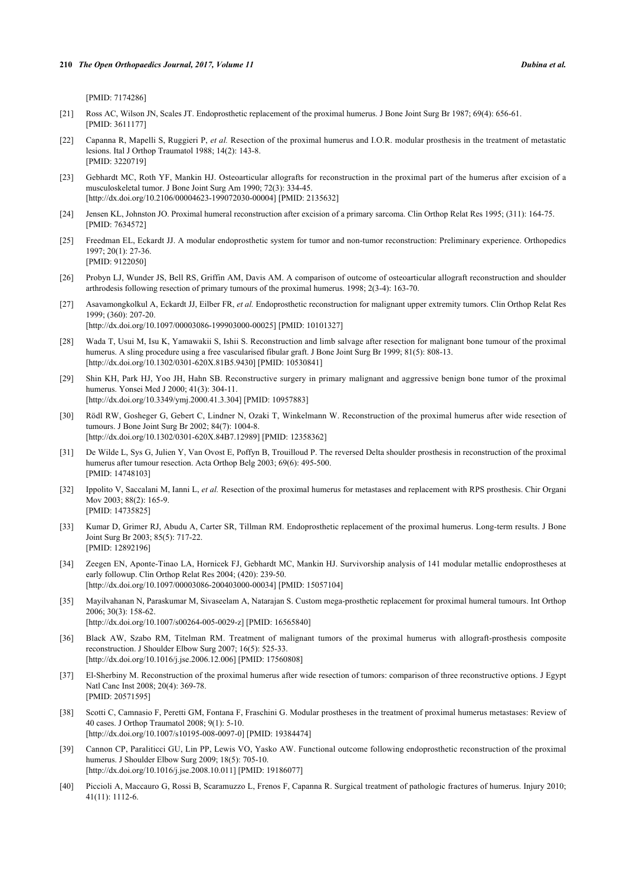[PMID: [7174286\]](http://www.ncbi.nlm.nih.gov/pubmed/7174286)

- <span id="page-7-0"></span>[21] Ross AC, Wilson JN, Scales JT. Endoprosthetic replacement of the proximal humerus. J Bone Joint Surg Br 1987; 69(4): 656-61. [PMID: [3611177\]](http://www.ncbi.nlm.nih.gov/pubmed/3611177)
- <span id="page-7-1"></span>[22] Capanna R, Mapelli S, Ruggieri P, *et al.* Resection of the proximal humerus and I.O.R. modular prosthesis in the treatment of metastatic lesions. Ital J Orthop Traumatol 1988; 14(2): 143-8. [PMID: [3220719\]](http://www.ncbi.nlm.nih.gov/pubmed/3220719)
- <span id="page-7-2"></span>[23] Gebhardt MC, Roth YF, Mankin HJ. Osteoarticular allografts for reconstruction in the proximal part of the humerus after excision of a musculoskeletal tumor. J Bone Joint Surg Am 1990; 72(3): 334-45. [\[http://dx.doi.org/10.2106/00004623-199072030-00004](http://dx.doi.org/10.2106/00004623-199072030-00004)] [PMID: [2135632\]](http://www.ncbi.nlm.nih.gov/pubmed/2135632)
- <span id="page-7-3"></span>[24] Jensen KL, Johnston JO. Proximal humeral reconstruction after excision of a primary sarcoma. Clin Orthop Relat Res 1995; (311): 164-75. [PMID: [7634572\]](http://www.ncbi.nlm.nih.gov/pubmed/7634572)
- <span id="page-7-4"></span>[25] Freedman EL, Eckardt JJ. A modular endoprosthetic system for tumor and non-tumor reconstruction: Preliminary experience. Orthopedics 1997; 20(1): 27-36. [PMID: [9122050\]](http://www.ncbi.nlm.nih.gov/pubmed/9122050)
- <span id="page-7-5"></span>[26] Probyn LJ, Wunder JS, Bell RS, Griffin AM, Davis AM. A comparison of outcome of osteoarticular allograft reconstruction and shoulder arthrodesis following resection of primary tumours of the proximal humerus. 1998; 2(3-4): 163-70.
- <span id="page-7-6"></span>[27] Asavamongkolkul A, Eckardt JJ, Eilber FR, *et al.* Endoprosthetic reconstruction for malignant upper extremity tumors. Clin Orthop Relat Res 1999; (360): 207-20. [\[http://dx.doi.org/10.1097/00003086-199903000-00025](http://dx.doi.org/10.1097/00003086-199903000-00025)] [PMID: [10101327\]](http://www.ncbi.nlm.nih.gov/pubmed/10101327)
- <span id="page-7-7"></span>[28] Wada T, Usui M, Isu K, Yamawakii S, Ishii S. Reconstruction and limb salvage after resection for malignant bone tumour of the proximal humerus. A sling procedure using a free vascularised fibular graft. J Bone Joint Surg Br 1999; 81(5): 808-13. [\[http://dx.doi.org/10.1302/0301-620X.81B5.9430\]](http://dx.doi.org/10.1302/0301-620X.81B5.9430) [PMID: [10530841](http://www.ncbi.nlm.nih.gov/pubmed/10530841)]
- <span id="page-7-8"></span>[29] Shin KH, Park HJ, Yoo JH, Hahn SB. Reconstructive surgery in primary malignant and aggressive benign bone tumor of the proximal humerus. Yonsei Med J 2000; 41(3): 304-11. [\[http://dx.doi.org/10.3349/ymj.2000.41.3.304](http://dx.doi.org/10.3349/ymj.2000.41.3.304)] [PMID: [10957883\]](http://www.ncbi.nlm.nih.gov/pubmed/10957883)
- <span id="page-7-9"></span>[30] Rödl RW, Gosheger G, Gebert C, Lindner N, Ozaki T, Winkelmann W. Reconstruction of the proximal humerus after wide resection of tumours. J Bone Joint Surg Br 2002; 84(7): 1004-8. [\[http://dx.doi.org/10.1302/0301-620X.84B7.12989\]](http://dx.doi.org/10.1302/0301-620X.84B7.12989) [PMID: [12358362](http://www.ncbi.nlm.nih.gov/pubmed/12358362)]
- <span id="page-7-10"></span>[31] De Wilde L, Sys G, Julien Y, Van Ovost E, Poffyn B, Trouilloud P. The reversed Delta shoulder prosthesis in reconstruction of the proximal humerus after tumour resection. Acta Orthop Belg 2003; 69(6): 495-500. [PMID: [14748103\]](http://www.ncbi.nlm.nih.gov/pubmed/14748103)
- <span id="page-7-11"></span>[32] Ippolito V, Saccalani M, Ianni L, *et al.* Resection of the proximal humerus for metastases and replacement with RPS prosthesis. Chir Organi Mov 2003; 88(2): 165-9. [PMID: [14735825\]](http://www.ncbi.nlm.nih.gov/pubmed/14735825)
- <span id="page-7-12"></span>[33] Kumar D, Grimer RJ, Abudu A, Carter SR, Tillman RM. Endoprosthetic replacement of the proximal humerus. Long-term results. J Bone Joint Surg Br 2003; 85(5): 717-22. [PMID: [12892196\]](http://www.ncbi.nlm.nih.gov/pubmed/12892196)
- <span id="page-7-13"></span>[34] Zeegen EN, Aponte-Tinao LA, Hornicek FJ, Gebhardt MC, Mankin HJ. Survivorship analysis of 141 modular metallic endoprostheses at early followup. Clin Orthop Relat Res 2004; (420): 239-50. [\[http://dx.doi.org/10.1097/00003086-200403000-00034](http://dx.doi.org/10.1097/00003086-200403000-00034)] [PMID: [15057104\]](http://www.ncbi.nlm.nih.gov/pubmed/15057104)
- <span id="page-7-14"></span>[35] Mayilvahanan N, Paraskumar M, Sivaseelam A, Natarajan S. Custom mega-prosthetic replacement for proximal humeral tumours. Int Orthop 2006; 30(3): 158-62. [\[http://dx.doi.org/10.1007/s00264-005-0029-z](http://dx.doi.org/10.1007/s00264-005-0029-z)] [PMID: [16565840](http://www.ncbi.nlm.nih.gov/pubmed/16565840)]
- <span id="page-7-15"></span>[36] Black AW, Szabo RM, Titelman RM. Treatment of malignant tumors of the proximal humerus with allograft-prosthesis composite reconstruction. J Shoulder Elbow Surg 2007; 16(5): 525-33. [\[http://dx.doi.org/10.1016/j.jse.2006.12.006\]](http://dx.doi.org/10.1016/j.jse.2006.12.006) [PMID: [17560808](http://www.ncbi.nlm.nih.gov/pubmed/17560808)]
- <span id="page-7-16"></span>[37] El-Sherbiny M. Reconstruction of the proximal humerus after wide resection of tumors: comparison of three reconstructive options. J Egypt Natl Canc Inst 2008; 20(4): 369-78. [PMID: [20571595\]](http://www.ncbi.nlm.nih.gov/pubmed/20571595)
- <span id="page-7-17"></span>[38] Scotti C, Camnasio F, Peretti GM, Fontana F, Fraschini G. Modular prostheses in the treatment of proximal humerus metastases: Review of 40 cases. J Orthop Traumatol 2008; 9(1): 5-10. [\[http://dx.doi.org/10.1007/s10195-008-0097-0\]](http://dx.doi.org/10.1007/s10195-008-0097-0) [PMID: [19384474](http://www.ncbi.nlm.nih.gov/pubmed/19384474)]
- <span id="page-7-18"></span>[39] Cannon CP, Paraliticci GU, Lin PP, Lewis VO, Yasko AW. Functional outcome following endoprosthetic reconstruction of the proximal humerus. J Shoulder Elbow Surg 2009; 18(5): 705-10. [\[http://dx.doi.org/10.1016/j.jse.2008.10.011\]](http://dx.doi.org/10.1016/j.jse.2008.10.011) [PMID: [19186077](http://www.ncbi.nlm.nih.gov/pubmed/19186077)]
- <span id="page-7-19"></span>[40] Piccioli A, Maccauro G, Rossi B, Scaramuzzo L, Frenos F, Capanna R. Surgical treatment of pathologic fractures of humerus. Injury 2010; 41(11): 1112-6.